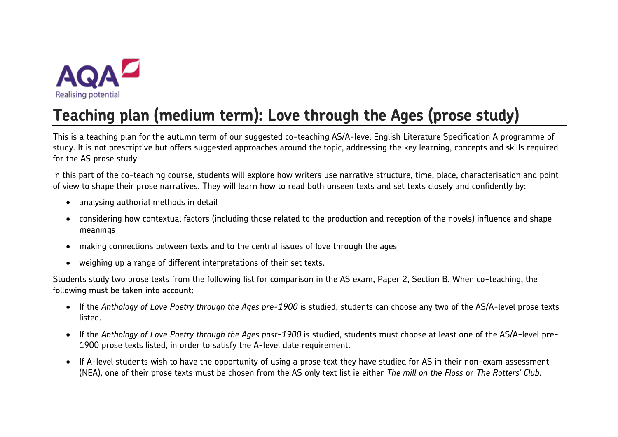

# **Teaching plan (medium term): Love through the Ages (prose study)**

This is a teaching plan for the autumn term of our suggested co-teaching AS/A-level English Literature Specification A programme of study. It is not prescriptive but offers suggested approaches around the topic, addressing the key learning, concepts and skills required for the AS prose study.

In this part of the co-teaching course, students will explore how writers use narrative structure, time, place, characterisation and point of view to shape their prose narratives. They will learn how to read both unseen texts and set texts closely and confidently by:

- analysing authorial methods in detail
- considering how contextual factors (including those related to the production and reception of the novels) influence and shape meanings
- making connections between texts and to the central issues of love through the ages
- weighing up a range of different interpretations of their set texts.

Students study two prose texts from the following list for comparison in the AS exam, Paper 2, Section B. When co-teaching, the following must be taken into account:

- If the *Anthology of Love Poetry through the Ages pre-1900* is studied, students can choose any two of the AS/A-level prose texts listed.
- If the *Anthology of Love Poetry through the Ages post-1900* is studied, students must choose at least one of the AS/A-level pre-1900 prose texts listed, in order to satisfy the A-level date requirement.
- If A-level students wish to have the opportunity of using a prose text they have studied for AS in their non-exam assessment (NEA), one of their prose texts must be chosen from the AS only text list ie either *The mill on the Floss* or *The Rotters' Club*.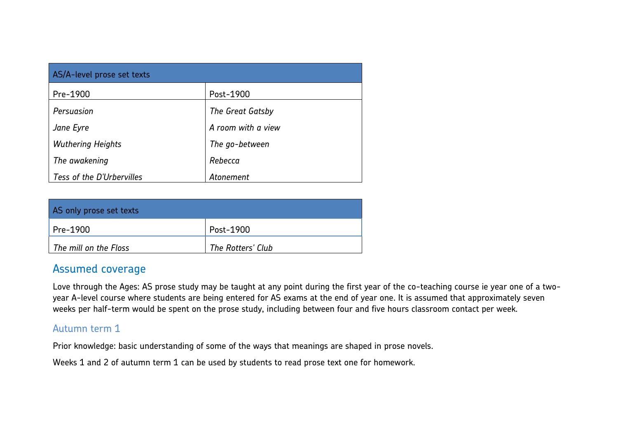| AS/A-level prose set texts |                    |  |  |
|----------------------------|--------------------|--|--|
| Pre-1900                   | Post-1900          |  |  |
| Persuasion                 | The Great Gatsby   |  |  |
| Jane Eyre                  | A room with a view |  |  |
| <b>Wuthering Heights</b>   | The go-between     |  |  |
| The awakening              | Rebecca            |  |  |
| Tess of the D'Urbervilles  | Atonement          |  |  |

| AS only prose set texts      |                   |
|------------------------------|-------------------|
| $Pre-1900$                   | Post-1900         |
| $\mid$ The mill on the Floss | The Rotters' Club |

# Assumed coverage

Love through the Ages: AS prose study may be taught at any point during the first year of the co-teaching course ie year one of a twoyear A-level course where students are being entered for AS exams at the end of year one. It is assumed that approximately seven weeks per half-term would be spent on the prose study, including between four and five hours classroom contact per week.

# Autumn term 1

Prior knowledge: basic understanding of some of the ways that meanings are shaped in prose novels.

Weeks 1 and 2 of autumn term 1 can be used by students to read prose text one for homework.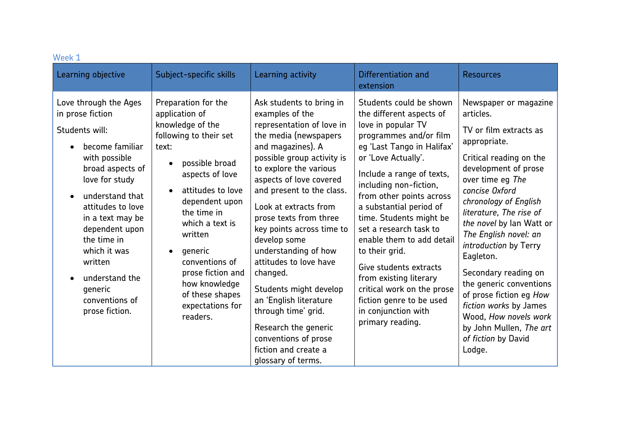| Week 1                                                                                                                                                                                                                                                                                                                         |                                                                                                                                                                                                                                                                                                                                             |                                                                                                                                                                                                                                                                                                                                                                                                                                                                                                                                                                               |                                                                                                                                                                                                                                                                                                                                                                                                                                                                                                                                     |                                                                                                                                                                                                                                                                                                                                                                                                                                                                                                                   |
|--------------------------------------------------------------------------------------------------------------------------------------------------------------------------------------------------------------------------------------------------------------------------------------------------------------------------------|---------------------------------------------------------------------------------------------------------------------------------------------------------------------------------------------------------------------------------------------------------------------------------------------------------------------------------------------|-------------------------------------------------------------------------------------------------------------------------------------------------------------------------------------------------------------------------------------------------------------------------------------------------------------------------------------------------------------------------------------------------------------------------------------------------------------------------------------------------------------------------------------------------------------------------------|-------------------------------------------------------------------------------------------------------------------------------------------------------------------------------------------------------------------------------------------------------------------------------------------------------------------------------------------------------------------------------------------------------------------------------------------------------------------------------------------------------------------------------------|-------------------------------------------------------------------------------------------------------------------------------------------------------------------------------------------------------------------------------------------------------------------------------------------------------------------------------------------------------------------------------------------------------------------------------------------------------------------------------------------------------------------|
| Learning objective                                                                                                                                                                                                                                                                                                             | Subject-specific skills                                                                                                                                                                                                                                                                                                                     | Learning activity                                                                                                                                                                                                                                                                                                                                                                                                                                                                                                                                                             | Differentiation and<br>extension                                                                                                                                                                                                                                                                                                                                                                                                                                                                                                    | <b>Resources</b>                                                                                                                                                                                                                                                                                                                                                                                                                                                                                                  |
| Love through the Ages<br>in prose fiction<br>Students will:<br>become familiar<br>with possible<br>broad aspects of<br>love for study<br>understand that<br>attitudes to love<br>in a text may be<br>dependent upon<br>the time in<br>which it was<br>written<br>understand the<br>generic<br>conventions of<br>prose fiction. | Preparation for the<br>application of<br>knowledge of the<br>following to their set<br>text:<br>possible broad<br>aspects of love<br>attitudes to love<br>dependent upon<br>the time in<br>which a text is<br>written<br>generic<br>conventions of<br>prose fiction and<br>how knowledge<br>of these shapes<br>expectations for<br>readers. | Ask students to bring in<br>examples of the<br>representation of love in<br>the media (newspapers<br>and magazines). A<br>possible group activity is<br>to explore the various<br>aspects of love covered<br>and present to the class.<br>Look at extracts from<br>prose texts from three<br>key points across time to<br>develop some<br>understanding of how<br>attitudes to love have<br>changed.<br>Students might develop<br>an 'English literature<br>through time' grid.<br>Research the generic<br>conventions of prose<br>fiction and create a<br>glossary of terms. | Students could be shown<br>the different aspects of<br>love in popular TV<br>programmes and/or film<br>eg 'Last Tango in Halifax'<br>or 'Love Actually'.<br>Include a range of texts,<br>including non-fiction,<br>from other points across<br>a substantial period of<br>time. Students might be<br>set a research task to<br>enable them to add detail<br>to their grid.<br>Give students extracts<br>from existing literary<br>critical work on the prose<br>fiction genre to be used<br>in conjunction with<br>primary reading. | Newspaper or magazine<br>articles.<br>TV or film extracts as<br>appropriate.<br>Critical reading on the<br>development of prose<br>over time eg The<br>concise Oxford<br>chronology of English<br>literature, The rise of<br>the novel by lan Watt or<br>The English novel: an<br>introduction by Terry<br>Eagleton.<br>Secondary reading on<br>the generic conventions<br>of prose fiction eg How<br>fiction works by James<br>Wood, How novels work<br>by John Mullen, The art<br>of fiction by David<br>Lodge. |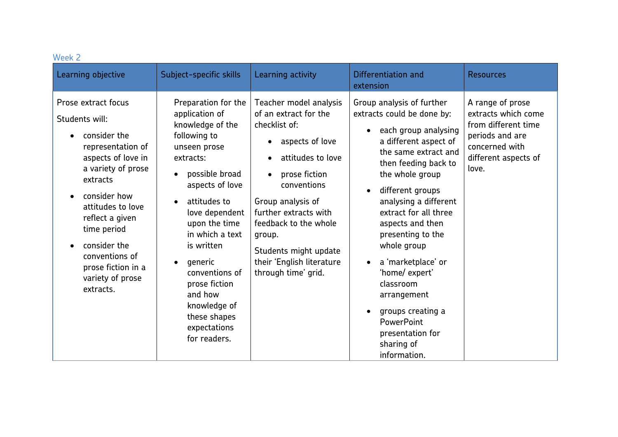| Week 2                                                                                                                                                                                                                                                                                             |                                                                                                                                                                                                                                                                                                                                                                                                 |                                                                                                                                                                                                                                                                                                        |                                                                                                                                                                                                                                                                                                                                                                                                                                                                                                           |                                                                                                                                      |
|----------------------------------------------------------------------------------------------------------------------------------------------------------------------------------------------------------------------------------------------------------------------------------------------------|-------------------------------------------------------------------------------------------------------------------------------------------------------------------------------------------------------------------------------------------------------------------------------------------------------------------------------------------------------------------------------------------------|--------------------------------------------------------------------------------------------------------------------------------------------------------------------------------------------------------------------------------------------------------------------------------------------------------|-----------------------------------------------------------------------------------------------------------------------------------------------------------------------------------------------------------------------------------------------------------------------------------------------------------------------------------------------------------------------------------------------------------------------------------------------------------------------------------------------------------|--------------------------------------------------------------------------------------------------------------------------------------|
| Learning objective                                                                                                                                                                                                                                                                                 | Subject-specific skills                                                                                                                                                                                                                                                                                                                                                                         | Learning activity                                                                                                                                                                                                                                                                                      | Differentiation and<br>extension                                                                                                                                                                                                                                                                                                                                                                                                                                                                          | <b>Resources</b>                                                                                                                     |
| Prose extract focus<br>Students will:<br>consider the<br>representation of<br>aspects of love in<br>a variety of prose<br>extracts<br>consider how<br>attitudes to love<br>reflect a given<br>time period<br>consider the<br>conventions of<br>prose fiction in a<br>variety of prose<br>extracts. | Preparation for the<br>application of<br>knowledge of the<br>following to<br>unseen prose<br>extracts:<br>possible broad<br>$\bullet$<br>aspects of love<br>attitudes to<br>$\bullet$<br>love dependent<br>upon the time<br>in which a text<br>is written<br>generic<br>$\bullet$<br>conventions of<br>prose fiction<br>and how<br>knowledge of<br>these shapes<br>expectations<br>for readers. | Teacher model analysis<br>of an extract for the<br>checklist of:<br>aspects of love<br>attitudes to love<br>prose fiction<br>conventions<br>Group analysis of<br>further extracts with<br>feedback to the whole<br>group.<br>Students might update<br>their 'English literature<br>through time' grid. | Group analysis of further<br>extracts could be done by:<br>each group analysing<br>$\bullet$<br>a different aspect of<br>the same extract and<br>then feeding back to<br>the whole group<br>different groups<br>$\bullet$<br>analysing a different<br>extract for all three<br>aspects and then<br>presenting to the<br>whole group<br>a 'marketplace' or<br>$\bullet$<br>'home/ expert'<br>classroom<br>arrangement<br>groups creating a<br>PowerPoint<br>presentation for<br>sharing of<br>information. | A range of prose<br>extracts which come<br>from different time<br>periods and are<br>concerned with<br>different aspects of<br>love. |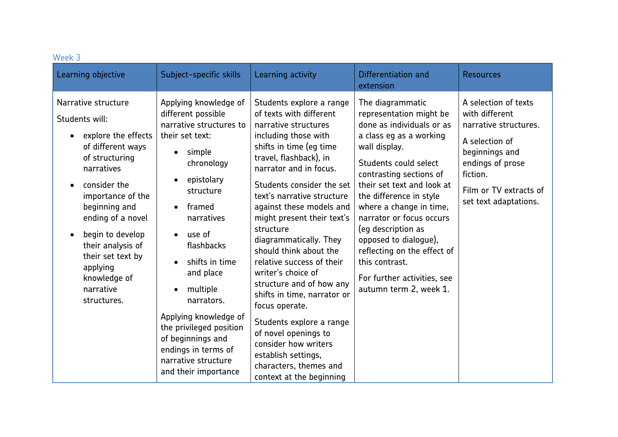| Week 3                                                                                                                                                                                                                                                                                                             |                                                                                                                                                                                                                                                                                                                                                                                                                                             |                                                                                                                                                                                                                                                                                                                                                                                                                                                                                                                                                                                                                                                                   |                                                                                                                                                                                                                                                                                                                                                                                                                                                   |                                                                                                                                                                                        |
|--------------------------------------------------------------------------------------------------------------------------------------------------------------------------------------------------------------------------------------------------------------------------------------------------------------------|---------------------------------------------------------------------------------------------------------------------------------------------------------------------------------------------------------------------------------------------------------------------------------------------------------------------------------------------------------------------------------------------------------------------------------------------|-------------------------------------------------------------------------------------------------------------------------------------------------------------------------------------------------------------------------------------------------------------------------------------------------------------------------------------------------------------------------------------------------------------------------------------------------------------------------------------------------------------------------------------------------------------------------------------------------------------------------------------------------------------------|---------------------------------------------------------------------------------------------------------------------------------------------------------------------------------------------------------------------------------------------------------------------------------------------------------------------------------------------------------------------------------------------------------------------------------------------------|----------------------------------------------------------------------------------------------------------------------------------------------------------------------------------------|
| Learning objective                                                                                                                                                                                                                                                                                                 | Subject-specific skills                                                                                                                                                                                                                                                                                                                                                                                                                     | Learning activity                                                                                                                                                                                                                                                                                                                                                                                                                                                                                                                                                                                                                                                 | Differentiation and<br>extension                                                                                                                                                                                                                                                                                                                                                                                                                  | <b>Resources</b>                                                                                                                                                                       |
| Narrative structure<br>Students will:<br>explore the effects<br>of different ways<br>of structuring<br>narratives<br>consider the<br>importance of the<br>beginning and<br>ending of a novel<br>begin to develop<br>their analysis of<br>their set text by<br>applying<br>knowledge of<br>narrative<br>structures. | Applying knowledge of<br>different possible<br>narrative structures to<br>their set text:<br>simple<br>chronology<br>epistolary<br>$\bullet$<br>structure<br>framed<br>$\bullet$<br>narratives<br>use of<br>flashbacks<br>shifts in time<br>and place<br>multiple<br>$\bullet$<br>narrators.<br>Applying knowledge of<br>the privileged position<br>of beginnings and<br>endings in terms of<br>narrative structure<br>and their importance | Students explore a range<br>of texts with different<br>narrative structures<br>including those with<br>shifts in time (eg time<br>travel, flashback), in<br>narrator and in focus.<br>Students consider the set<br>text's narrative structure<br>against these models and<br>might present their text's<br>structure<br>diagrammatically. They<br>should think about the<br>relative success of their<br>writer's choice of<br>structure and of how any<br>shifts in time, narrator or<br>focus operate.<br>Students explore a range<br>of novel openings to<br>consider how writers<br>establish settings,<br>characters, themes and<br>context at the beginning | The diagrammatic<br>representation might be<br>done as individuals or as<br>a class eg as a working<br>wall display.<br>Students could select<br>contrasting sections of<br>their set text and look at<br>the difference in style<br>where a change in time,<br>narrator or focus occurs<br>(eg description as<br>opposed to dialogue),<br>reflecting on the effect of<br>this contrast.<br>For further activities, see<br>autumn term 2, week 1. | A selection of texts<br>with different<br>narrative structures.<br>A selection of<br>beginnings and<br>endings of prose<br>fiction.<br>Film or TV extracts of<br>set text adaptations. |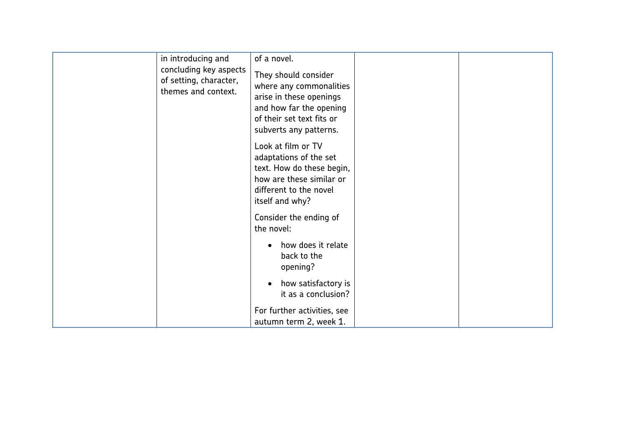| in introducing and<br>concluding key aspects<br>of setting, character,<br>themes and context. | of a novel.<br>They should consider<br>where any commonalities<br>arise in these openings<br>and how far the opening<br>of their set text fits or<br>subverts any patterns.<br>Look at film or TV                                            |  |
|-----------------------------------------------------------------------------------------------|----------------------------------------------------------------------------------------------------------------------------------------------------------------------------------------------------------------------------------------------|--|
|                                                                                               | adaptations of the set<br>text. How do these begin,<br>how are these similar or<br>different to the novel<br>itself and why?<br>Consider the ending of<br>the novel:<br>how does it relate<br>back to the<br>opening?<br>how satisfactory is |  |
|                                                                                               | it as a conclusion?<br>For further activities, see<br>autumn term 2, week 1.                                                                                                                                                                 |  |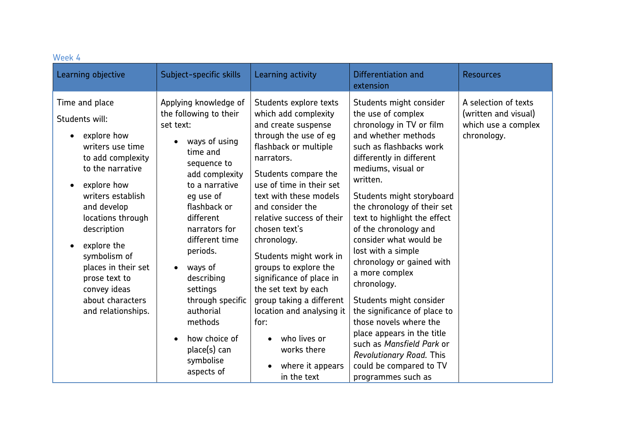| Learning activity<br>Differentiation and<br>Learning objective<br>Subject-specific skills<br><b>Resources</b><br>extension                                                                                                                                                                                                                                                                                                                                                                                                                                                                                                                                                                                                                                                                                                                                                                                                                                                                                                                                                                                                                                                                                                                                                                                                                                                                                                                                                                                                                                                                                                                                                                                                                                                                                                                                                                                                                                                                                                                                                                 |  |
|--------------------------------------------------------------------------------------------------------------------------------------------------------------------------------------------------------------------------------------------------------------------------------------------------------------------------------------------------------------------------------------------------------------------------------------------------------------------------------------------------------------------------------------------------------------------------------------------------------------------------------------------------------------------------------------------------------------------------------------------------------------------------------------------------------------------------------------------------------------------------------------------------------------------------------------------------------------------------------------------------------------------------------------------------------------------------------------------------------------------------------------------------------------------------------------------------------------------------------------------------------------------------------------------------------------------------------------------------------------------------------------------------------------------------------------------------------------------------------------------------------------------------------------------------------------------------------------------------------------------------------------------------------------------------------------------------------------------------------------------------------------------------------------------------------------------------------------------------------------------------------------------------------------------------------------------------------------------------------------------------------------------------------------------------------------------------------------------|--|
| A selection of texts<br>Applying knowledge of<br>Time and place<br>Students explore texts<br>Students might consider<br>the use of complex<br>the following to their<br>which add complexity<br>(written and visual)<br>Students will:<br>and create suspense<br>chronology in TV or film<br>which use a complex<br>set text:<br>and whether methods<br>through the use of eg<br>explore how<br>chronology.<br>ways of using<br>$\bullet$<br>flashback or multiple<br>writers use time<br>such as flashbacks work<br>time and<br>to add complexity<br>differently in different<br>narrators.<br>sequence to<br>to the narrative<br>mediums, visual or<br>Students compare the<br>add complexity<br>written.<br>use of time in their set<br>explore how<br>to a narrative<br>writers establish<br>text with these models<br>Students might storyboard<br>eq use of<br>the chronology of their set<br>flashback or<br>and consider the<br>and develop<br>locations through<br>different<br>relative success of their<br>text to highlight the effect<br>of the chronology and<br>description<br>narrators for<br>chosen text's<br>different time<br>consider what would be<br>chronology.<br>explore the<br>periods.<br>lost with a simple<br>symbolism of<br>Students might work in<br>chronology or gained with<br>groups to explore the<br>places in their set<br>ways of<br>$\bullet$<br>a more complex<br>significance of place in<br>describing<br>prose text to<br>chronology.<br>the set text by each<br>settings<br>convey ideas<br>group taking a different<br>about characters<br>through specific<br>Students might consider<br>authorial<br>the significance of place to<br>and relationships.<br>location and analysing it<br>those novels where the<br>methods<br>for:<br>place appears in the title<br>how choice of<br>who lives or<br>$\bullet$<br>$\bullet$<br>such as Mansfield Park or<br>place(s) can<br>works there<br><b>Revolutionary Road. This</b><br>symbolise<br>could be compared to TV<br>where it appears<br>aspects of<br>in the text<br>programmes such as |  |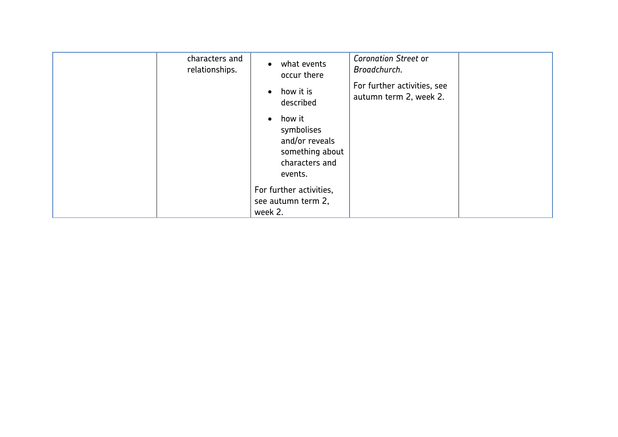| characters and<br>relationships. | what events<br>occur there<br>how it is<br>$\bullet$<br>described                                   | <b>Coronation Street or</b><br>Broadchurch.<br>For further activities, see<br>autumn term 2, week 2. |  |
|----------------------------------|-----------------------------------------------------------------------------------------------------|------------------------------------------------------------------------------------------------------|--|
|                                  | how it<br>$\bullet$<br>symbolises<br>and/or reveals<br>something about<br>characters and<br>events. |                                                                                                      |  |
|                                  | For further activities,<br>see autumn term 2,<br>week 2.                                            |                                                                                                      |  |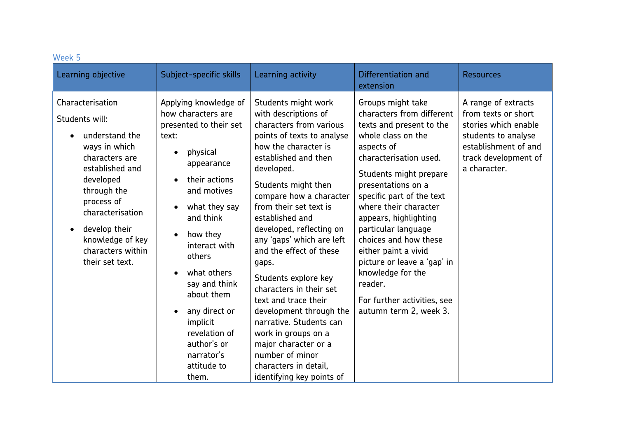| Week 5                                                                                                                                                                                                                                                |                                                                                                                                                                                                                                                                                                                                                                                                                                              |                                                                                                                                                                                                                                                                                                                                                                                                                                                                                                                                                                                                                         |                                                                                                                                                                                                                                                                                                                                                                                                                                                                         |                                                                                                                                                           |
|-------------------------------------------------------------------------------------------------------------------------------------------------------------------------------------------------------------------------------------------------------|----------------------------------------------------------------------------------------------------------------------------------------------------------------------------------------------------------------------------------------------------------------------------------------------------------------------------------------------------------------------------------------------------------------------------------------------|-------------------------------------------------------------------------------------------------------------------------------------------------------------------------------------------------------------------------------------------------------------------------------------------------------------------------------------------------------------------------------------------------------------------------------------------------------------------------------------------------------------------------------------------------------------------------------------------------------------------------|-------------------------------------------------------------------------------------------------------------------------------------------------------------------------------------------------------------------------------------------------------------------------------------------------------------------------------------------------------------------------------------------------------------------------------------------------------------------------|-----------------------------------------------------------------------------------------------------------------------------------------------------------|
| Learning objective                                                                                                                                                                                                                                    | Subject-specific skills                                                                                                                                                                                                                                                                                                                                                                                                                      | Learning activity                                                                                                                                                                                                                                                                                                                                                                                                                                                                                                                                                                                                       | Differentiation and<br>extension                                                                                                                                                                                                                                                                                                                                                                                                                                        | <b>Resources</b>                                                                                                                                          |
| Characterisation<br>Students will:<br>understand the<br>ways in which<br>characters are<br>established and<br>developed<br>through the<br>process of<br>characterisation<br>develop their<br>knowledge of key<br>characters within<br>their set text. | Applying knowledge of<br>how characters are<br>presented to their set<br>text:<br>physical<br>$\bullet$<br>appearance<br>their actions<br>$\bullet$<br>and motives<br>what they say<br>$\bullet$<br>and think<br>how they<br>$\bullet$<br>interact with<br>others<br>what others<br>$\bullet$<br>say and think<br>about them<br>any direct or<br>$\bullet$<br>implicit<br>revelation of<br>author's or<br>narrator's<br>attitude to<br>them. | Students might work<br>with descriptions of<br>characters from various<br>points of texts to analyse<br>how the character is<br>established and then<br>developed.<br>Students might then<br>compare how a character<br>from their set text is<br>established and<br>developed, reflecting on<br>any 'gaps' which are left<br>and the effect of these<br>gaps.<br>Students explore key<br>characters in their set<br>text and trace their<br>development through the<br>narrative. Students can<br>work in groups on a<br>major character or a<br>number of minor<br>characters in detail,<br>identifying key points of | Groups might take<br>characters from different<br>texts and present to the<br>whole class on the<br>aspects of<br>characterisation used.<br>Students might prepare<br>presentations on a<br>specific part of the text<br>where their character<br>appears, highlighting<br>particular language<br>choices and how these<br>either paint a vivid<br>picture or leave a 'gap' in<br>knowledge for the<br>reader.<br>For further activities, see<br>autumn term 2, week 3. | A range of extracts<br>from texts or short<br>stories which enable<br>students to analyse<br>establishment of and<br>track development of<br>a character. |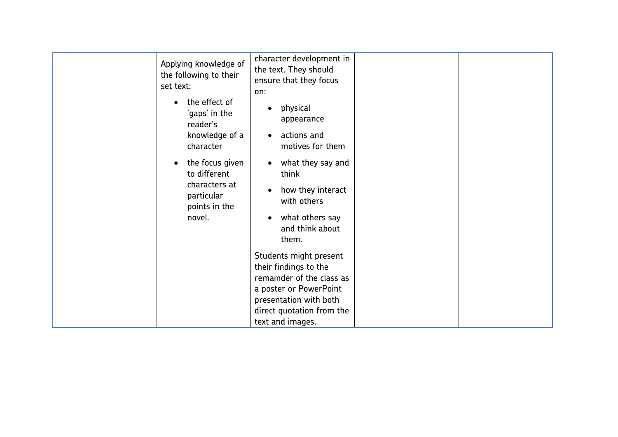| Applying knowledge of<br>the following to their<br>set text:<br>the effect of<br>'gaps' in the<br>reader's<br>knowledge of a<br>character<br>the focus given<br>to different<br>characters at | character development in<br>the text. They should<br>ensure that they focus<br>on:<br>physical<br>appearance<br>actions and<br>motives for them<br>what they say and<br>$\bullet$<br>think                                                                           |  |
|-----------------------------------------------------------------------------------------------------------------------------------------------------------------------------------------------|----------------------------------------------------------------------------------------------------------------------------------------------------------------------------------------------------------------------------------------------------------------------|--|
| particular<br>points in the<br>novel.                                                                                                                                                         | how they interact<br>with others<br>what others say<br>and think about<br>them.<br>Students might present<br>their findings to the<br>remainder of the class as<br>a poster or PowerPoint<br>presentation with both<br>direct quotation from the<br>text and images. |  |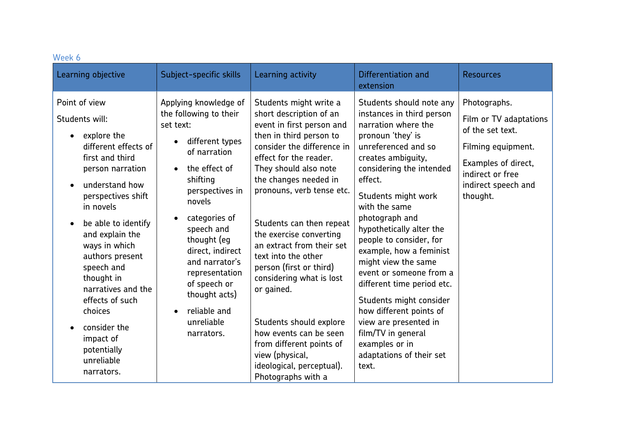| Week 6                                                                                                                                                                                                                                                                                                                                                                                                                |                                                                                                                                                                                                                                                                                                                                                           |                                                                                                                                                                                                                                                                                                                                                                                                                                                                                                                                                                                         |                                                                                                                                                                                                                                                                                                                                                                                                                                                                                                                                                                               |                                                                                                                                                                |
|-----------------------------------------------------------------------------------------------------------------------------------------------------------------------------------------------------------------------------------------------------------------------------------------------------------------------------------------------------------------------------------------------------------------------|-----------------------------------------------------------------------------------------------------------------------------------------------------------------------------------------------------------------------------------------------------------------------------------------------------------------------------------------------------------|-----------------------------------------------------------------------------------------------------------------------------------------------------------------------------------------------------------------------------------------------------------------------------------------------------------------------------------------------------------------------------------------------------------------------------------------------------------------------------------------------------------------------------------------------------------------------------------------|-------------------------------------------------------------------------------------------------------------------------------------------------------------------------------------------------------------------------------------------------------------------------------------------------------------------------------------------------------------------------------------------------------------------------------------------------------------------------------------------------------------------------------------------------------------------------------|----------------------------------------------------------------------------------------------------------------------------------------------------------------|
| Learning objective                                                                                                                                                                                                                                                                                                                                                                                                    | Subject-specific skills                                                                                                                                                                                                                                                                                                                                   | Learning activity                                                                                                                                                                                                                                                                                                                                                                                                                                                                                                                                                                       | Differentiation and<br>extension                                                                                                                                                                                                                                                                                                                                                                                                                                                                                                                                              | <b>Resources</b>                                                                                                                                               |
| Point of view<br>Students will:<br>explore the<br>$\bullet$<br>different effects of<br>first and third<br>person narration<br>understand how<br>perspectives shift<br>in novels<br>be able to identify<br>and explain the<br>ways in which<br>authors present<br>speech and<br>thought in<br>narratives and the<br>effects of such<br>choices<br>consider the<br>impact of<br>potentially<br>unreliable<br>narrators. | Applying knowledge of<br>the following to their<br>set text:<br>different types<br>of narration<br>the effect of<br>shifting<br>perspectives in<br>novels<br>categories of<br>$\bullet$<br>speech and<br>thought (eg<br>direct, indirect<br>and narrator's<br>representation<br>of speech or<br>thought acts)<br>reliable and<br>unreliable<br>narrators. | Students might write a<br>short description of an<br>event in first person and<br>then in third person to<br>consider the difference in<br>effect for the reader.<br>They should also note<br>the changes needed in<br>pronouns, verb tense etc.<br>Students can then repeat<br>the exercise converting<br>an extract from their set<br>text into the other<br>person (first or third)<br>considering what is lost<br>or gained.<br>Students should explore<br>how events can be seen<br>from different points of<br>view (physical,<br>ideological, perceptual).<br>Photographs with a | Students should note any<br>instances in third person<br>narration where the<br>pronoun 'they' is<br>unreferenced and so<br>creates ambiguity,<br>considering the intended<br>effect.<br>Students might work<br>with the same<br>photograph and<br>hypothetically alter the<br>people to consider, for<br>example, how a feminist<br>might view the same<br>event or someone from a<br>different time period etc.<br>Students might consider<br>how different points of<br>view are presented in<br>film/TV in general<br>examples or in<br>adaptations of their set<br>text. | Photographs.<br>Film or TV adaptations<br>of the set text.<br>Filming equipment.<br>Examples of direct,<br>indirect or free<br>indirect speech and<br>thought. |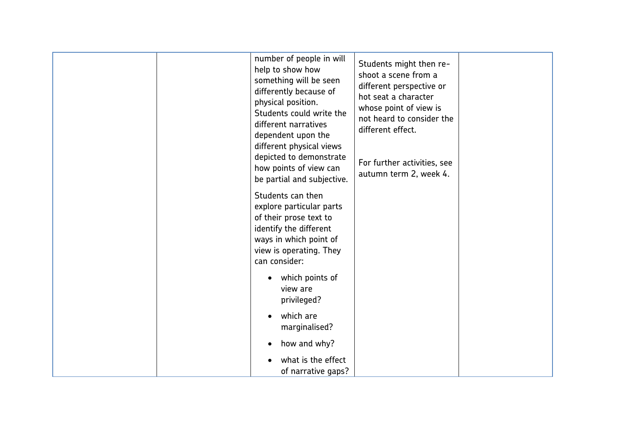|  | number of people in will<br>help to show how<br>something will be seen<br>differently because of<br>physical position.<br>Students could write the<br>different narratives<br>dependent upon the<br>different physical views<br>depicted to demonstrate<br>how points of view can<br>be partial and subjective. | Students might then re-<br>shoot a scene from a<br>different perspective or<br>hot seat a character<br>whose point of view is<br>not heard to consider the<br>different effect.<br>For further activities, see<br>autumn term 2, week 4. |  |
|--|-----------------------------------------------------------------------------------------------------------------------------------------------------------------------------------------------------------------------------------------------------------------------------------------------------------------|------------------------------------------------------------------------------------------------------------------------------------------------------------------------------------------------------------------------------------------|--|
|  | Students can then<br>explore particular parts<br>of their prose text to<br>identify the different<br>ways in which point of<br>view is operating. They<br>can consider:                                                                                                                                         |                                                                                                                                                                                                                                          |  |
|  | which points of<br>view are<br>privileged?                                                                                                                                                                                                                                                                      |                                                                                                                                                                                                                                          |  |
|  | which are<br>marginalised?                                                                                                                                                                                                                                                                                      |                                                                                                                                                                                                                                          |  |
|  | how and why?<br>what is the effect<br>of narrative gaps?                                                                                                                                                                                                                                                        |                                                                                                                                                                                                                                          |  |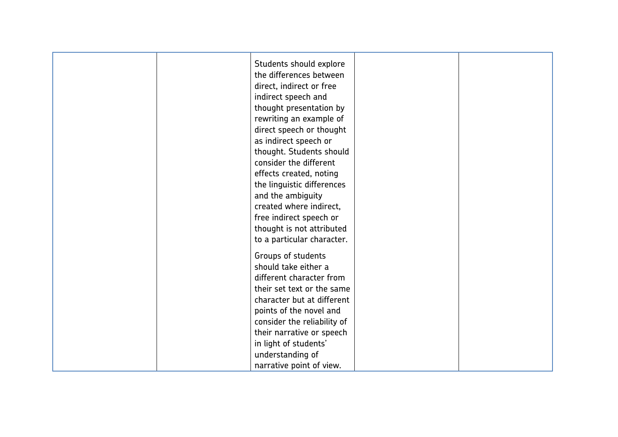| Students should explore<br>the differences between |
|----------------------------------------------------|
| direct, indirect or free                           |
| indirect speech and                                |
| thought presentation by                            |
| rewriting an example of                            |
| direct speech or thought                           |
| as indirect speech or                              |
| thought. Students should                           |
| consider the different                             |
|                                                    |
| effects created, noting                            |
| the linguistic differences                         |
| and the ambiguity                                  |
| created where indirect,                            |
| free indirect speech or                            |
| thought is not attributed                          |
| to a particular character.                         |
| Groups of students                                 |
| should take either a                               |
| different character from                           |
| their set text or the same                         |
| character but at different                         |
| points of the novel and                            |
| consider the reliability of                        |
| their narrative or speech                          |
| in light of students'                              |
| understanding of                                   |
| narrative point of view.                           |
|                                                    |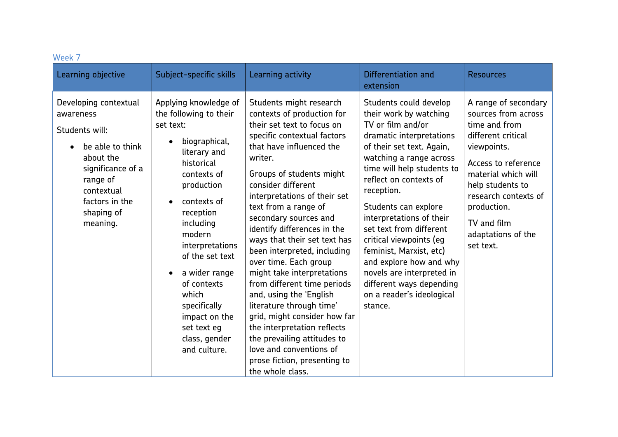| VVEEN /<br>Learning objective                                                                                                                                                    | Subject-specific skills                                                                                                                                                                                                                                                                                                                                     | Learning activity                                                                                                                                                                                                                                                                                                                                                                                                                                                                                                                                                                                                                                                                                                    | Differentiation and<br>extension                                                                                                                                                                                                                                                                                                                                                                                                                                                                 | <b>Resources</b>                                                                                                                                                                                                                                             |
|----------------------------------------------------------------------------------------------------------------------------------------------------------------------------------|-------------------------------------------------------------------------------------------------------------------------------------------------------------------------------------------------------------------------------------------------------------------------------------------------------------------------------------------------------------|----------------------------------------------------------------------------------------------------------------------------------------------------------------------------------------------------------------------------------------------------------------------------------------------------------------------------------------------------------------------------------------------------------------------------------------------------------------------------------------------------------------------------------------------------------------------------------------------------------------------------------------------------------------------------------------------------------------------|--------------------------------------------------------------------------------------------------------------------------------------------------------------------------------------------------------------------------------------------------------------------------------------------------------------------------------------------------------------------------------------------------------------------------------------------------------------------------------------------------|--------------------------------------------------------------------------------------------------------------------------------------------------------------------------------------------------------------------------------------------------------------|
| Developing contextual<br>awareness<br>Students will:<br>be able to think<br>about the<br>significance of a<br>range of<br>contextual<br>factors in the<br>shaping of<br>meaning. | Applying knowledge of<br>the following to their<br>set text:<br>biographical,<br>literary and<br>historical<br>contexts of<br>production<br>contexts of<br>reception<br>including<br>modern<br>interpretations<br>of the set text<br>a wider range<br>of contexts<br>which<br>specifically<br>impact on the<br>set text eg<br>class, gender<br>and culture. | Students might research<br>contexts of production for<br>their set text to focus on<br>specific contextual factors<br>that have influenced the<br>writer.<br>Groups of students might<br>consider different<br>interpretations of their set<br>text from a range of<br>secondary sources and<br>identify differences in the<br>ways that their set text has<br>been interpreted, including<br>over time. Each group<br>might take interpretations<br>from different time periods<br>and, using the 'English<br>literature through time'<br>grid, might consider how far<br>the interpretation reflects<br>the prevailing attitudes to<br>love and conventions of<br>prose fiction, presenting to<br>the whole class. | Students could develop<br>their work by watching<br>TV or film and/or<br>dramatic interpretations<br>of their set text. Again,<br>watching a range across<br>time will help students to<br>reflect on contexts of<br>reception.<br>Students can explore<br>interpretations of their<br>set text from different<br>critical viewpoints (eg<br>feminist, Marxist, etc)<br>and explore how and why<br>novels are interpreted in<br>different ways depending<br>on a reader's ideological<br>stance. | A range of secondary<br>sources from across<br>time and from<br>different critical<br>viewpoints.<br>Access to reference<br>material which will<br>help students to<br>research contexts of<br>production.<br>TV and film<br>adaptations of the<br>set text. |

#### Week 7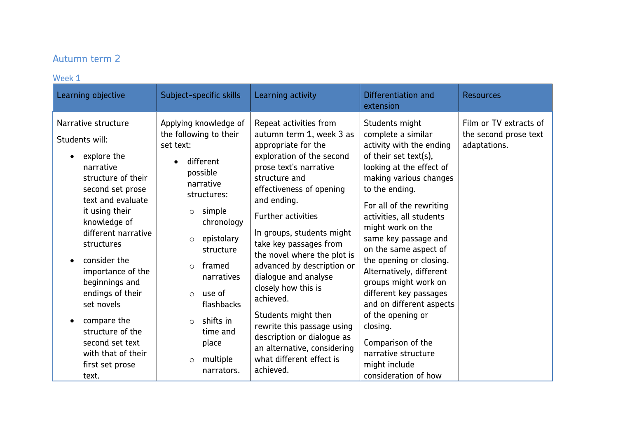# Autumn term 2

#### Week 1

| Narrative structure<br>Applying knowledge of<br>Repeat activities from<br>Students might<br>the following to their<br>autumn term 1, week 3 as<br>complete a similar<br>Students will:<br>appropriate for the<br>activity with the ending<br>set text:<br>adaptations.<br>of their set text(s),<br>exploration of the second<br>explore the<br>different                                                                                                                                                                                                                                                                                                                                                                                                                                                                                                                                                                                                                                                                                                                                                                                                                                                                                                                                                                                                                                                                                             | Learning objective | Subject-specific skills | Learning activity      | Differentiation and<br>extension | <b>Resources</b>                                |
|------------------------------------------------------------------------------------------------------------------------------------------------------------------------------------------------------------------------------------------------------------------------------------------------------------------------------------------------------------------------------------------------------------------------------------------------------------------------------------------------------------------------------------------------------------------------------------------------------------------------------------------------------------------------------------------------------------------------------------------------------------------------------------------------------------------------------------------------------------------------------------------------------------------------------------------------------------------------------------------------------------------------------------------------------------------------------------------------------------------------------------------------------------------------------------------------------------------------------------------------------------------------------------------------------------------------------------------------------------------------------------------------------------------------------------------------------|--------------------|-------------------------|------------------------|----------------------------------|-------------------------------------------------|
| possible<br>structure of their<br>structure and<br>making various changes<br>narrative<br>effectiveness of opening<br>to the ending.<br>second set prose<br>structures:<br>text and evaluate<br>and ending.<br>For all of the rewriting<br>it using their<br>simple<br>$\circ$<br><b>Further activities</b><br>activities, all students<br>knowledge of<br>chronology<br>might work on the<br>different narrative<br>In groups, students might<br>same key passage and<br>epistolary<br>$\circ$<br>take key passages from<br>structures<br>on the same aspect of<br>structure<br>the novel where the plot is<br>the opening or closing.<br>consider the<br>advanced by description or<br>framed<br>$\circ$<br>Alternatively, different<br>importance of the<br>narratives<br>dialogue and analyse<br>beginnings and<br>groups might work on<br>closely how this is<br>endings of their<br>different key passages<br>use of<br>$\circ$<br>achieved.<br>set novels<br>flashbacks<br>and on different aspects<br>Students might then<br>of the opening or<br>shifts in<br>compare the<br>$\circ$<br>rewrite this passage using<br>closing.<br>structure of the<br>time and<br>description or dialogue as<br>Comparison of the<br>second set text<br>place<br>an alternative, considering<br>narrative structure<br>with that of their<br>what different effect is<br>multiple<br>$\circ$<br>might include<br>first set prose<br>achieved.<br>narrators. | narrative          |                         | prose text's narrative | looking at the effect of         | Film or TV extracts of<br>the second prose text |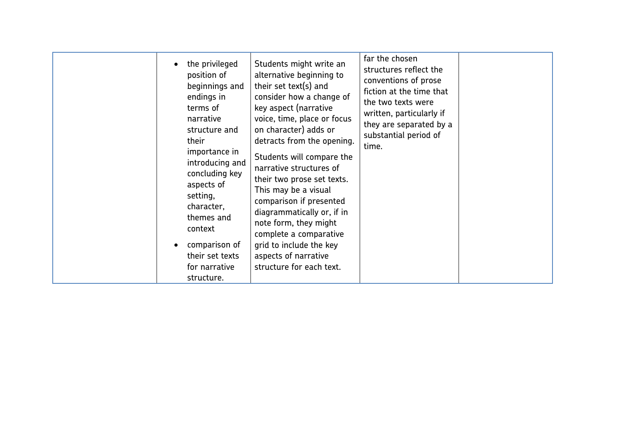| the privileged<br>position of<br>endings in<br>terms of<br>narrative<br>structure and<br>their<br>importance in<br>concluding key<br>aspects of<br>setting,<br>character,<br>themes and<br>context<br>comparison of | far the chosen<br>Students might write an<br>structures reflect the<br>alternative beginning to<br>conventions of prose<br>their set text(s) and<br>beginnings and<br>fiction at the time that<br>consider how a change of<br>the two texts were<br>key aspect (narrative<br>written, particularly if<br>voice, time, place or focus<br>they are separated by a<br>on character) adds or<br>substantial period of<br>detracts from the opening.<br>time.<br>Students will compare the<br>introducing and<br>narrative structures of<br>their two prose set texts.<br>This may be a visual<br>comparison if presented<br>diagrammatically or, if in |  |
|---------------------------------------------------------------------------------------------------------------------------------------------------------------------------------------------------------------------|----------------------------------------------------------------------------------------------------------------------------------------------------------------------------------------------------------------------------------------------------------------------------------------------------------------------------------------------------------------------------------------------------------------------------------------------------------------------------------------------------------------------------------------------------------------------------------------------------------------------------------------------------|--|
|---------------------------------------------------------------------------------------------------------------------------------------------------------------------------------------------------------------------|----------------------------------------------------------------------------------------------------------------------------------------------------------------------------------------------------------------------------------------------------------------------------------------------------------------------------------------------------------------------------------------------------------------------------------------------------------------------------------------------------------------------------------------------------------------------------------------------------------------------------------------------------|--|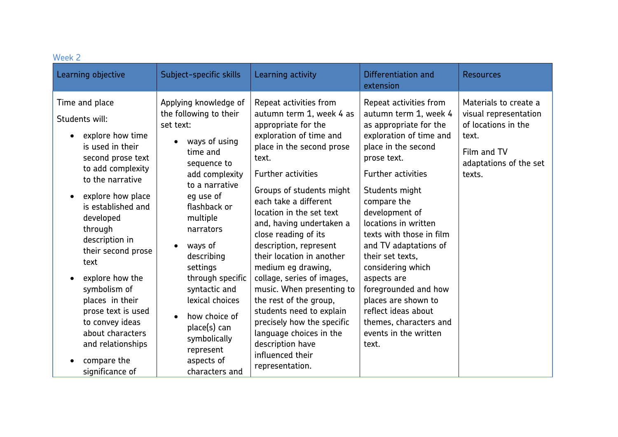| Week 2                                                                                                                                                                                                                                                                                                                                                                                                                              |                                                                                                                                                                                                                                                                                                                                                                                                            |                                                                                                                                                                                                                                                                                                                                                                                                                                                                                                                                                                                                                                |                                                                                                                                                                                                                                                                                                                                                                                                                                                                                                   |                                                                                                                                   |
|-------------------------------------------------------------------------------------------------------------------------------------------------------------------------------------------------------------------------------------------------------------------------------------------------------------------------------------------------------------------------------------------------------------------------------------|------------------------------------------------------------------------------------------------------------------------------------------------------------------------------------------------------------------------------------------------------------------------------------------------------------------------------------------------------------------------------------------------------------|--------------------------------------------------------------------------------------------------------------------------------------------------------------------------------------------------------------------------------------------------------------------------------------------------------------------------------------------------------------------------------------------------------------------------------------------------------------------------------------------------------------------------------------------------------------------------------------------------------------------------------|---------------------------------------------------------------------------------------------------------------------------------------------------------------------------------------------------------------------------------------------------------------------------------------------------------------------------------------------------------------------------------------------------------------------------------------------------------------------------------------------------|-----------------------------------------------------------------------------------------------------------------------------------|
| Learning objective                                                                                                                                                                                                                                                                                                                                                                                                                  | Subject-specific skills                                                                                                                                                                                                                                                                                                                                                                                    | Learning activity                                                                                                                                                                                                                                                                                                                                                                                                                                                                                                                                                                                                              | Differentiation and<br>extension                                                                                                                                                                                                                                                                                                                                                                                                                                                                  | <b>Resources</b>                                                                                                                  |
| Time and place<br>Students will:<br>explore how time<br>is used in their<br>second prose text<br>to add complexity<br>to the narrative<br>explore how place<br>is established and<br>developed<br>through<br>description in<br>their second prose<br>text<br>explore how the<br>symbolism of<br>places in their<br>prose text is used<br>to convey ideas<br>about characters<br>and relationships<br>compare the<br>significance of | Applying knowledge of<br>the following to their<br>set text:<br>ways of using<br>time and<br>sequence to<br>add complexity<br>to a narrative<br>eg use of<br>flashback or<br>multiple<br>narrators<br>ways of<br>$\bullet$<br>describing<br>settings<br>through specific<br>syntactic and<br>lexical choices<br>how choice of<br>place(s) can<br>symbolically<br>represent<br>aspects of<br>characters and | Repeat activities from<br>autumn term 1, week 4 as<br>appropriate for the<br>exploration of time and<br>place in the second prose<br>text.<br><b>Further activities</b><br>Groups of students might<br>each take a different<br>location in the set text<br>and, having undertaken a<br>close reading of its<br>description, represent<br>their location in another<br>medium eg drawing,<br>collage, series of images,<br>music. When presenting to<br>the rest of the group,<br>students need to explain<br>precisely how the specific<br>language choices in the<br>description have<br>influenced their<br>representation. | Repeat activities from<br>autumn term 1, week 4<br>as appropriate for the<br>exploration of time and<br>place in the second<br>prose text.<br><b>Further activities</b><br>Students might<br>compare the<br>development of<br>locations in written<br>texts with those in film<br>and TV adaptations of<br>their set texts.<br>considering which<br>aspects are<br>foregrounded and how<br>places are shown to<br>reflect ideas about<br>themes, characters and<br>events in the written<br>text. | Materials to create a<br>visual representation<br>of locations in the<br>text.<br>Film and TV<br>adaptations of the set<br>texts. |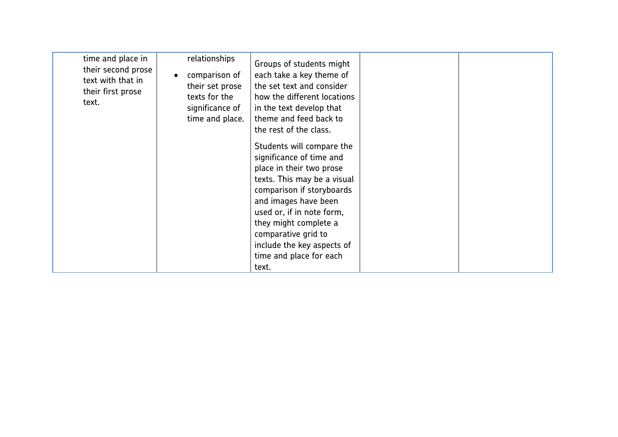| time and place in<br>their second prose<br>text with that in<br>their first prose<br>text. | relationships<br>comparison of<br>their set prose<br>texts for the<br>significance of<br>time and place. | Groups of students might<br>each take a key theme of<br>the set text and consider<br>how the different locations<br>in the text develop that<br>theme and feed back to<br>the rest of the class.                                                                                                                     |  |
|--------------------------------------------------------------------------------------------|----------------------------------------------------------------------------------------------------------|----------------------------------------------------------------------------------------------------------------------------------------------------------------------------------------------------------------------------------------------------------------------------------------------------------------------|--|
|                                                                                            |                                                                                                          | Students will compare the<br>significance of time and<br>place in their two prose<br>texts. This may be a visual<br>comparison if storyboards<br>and images have been<br>used or, if in note form,<br>they might complete a<br>comparative grid to<br>include the key aspects of<br>time and place for each<br>text. |  |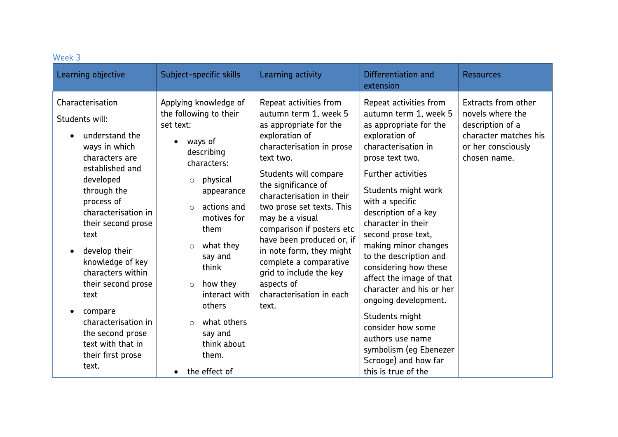| Week 3                                                                                                                                                                                                                                                                                                                                                                                                                                            |                                                                                                                                                                                                                                                                                                                                                                                                  |                                                                                                                                                                                                                                                                                                                                                                                                                                                                  |                                                                                                                                                                                                                                                                                                                                                                                                                                                                                                                                                                                 |                                                                                                                            |
|---------------------------------------------------------------------------------------------------------------------------------------------------------------------------------------------------------------------------------------------------------------------------------------------------------------------------------------------------------------------------------------------------------------------------------------------------|--------------------------------------------------------------------------------------------------------------------------------------------------------------------------------------------------------------------------------------------------------------------------------------------------------------------------------------------------------------------------------------------------|------------------------------------------------------------------------------------------------------------------------------------------------------------------------------------------------------------------------------------------------------------------------------------------------------------------------------------------------------------------------------------------------------------------------------------------------------------------|---------------------------------------------------------------------------------------------------------------------------------------------------------------------------------------------------------------------------------------------------------------------------------------------------------------------------------------------------------------------------------------------------------------------------------------------------------------------------------------------------------------------------------------------------------------------------------|----------------------------------------------------------------------------------------------------------------------------|
| Learning objective                                                                                                                                                                                                                                                                                                                                                                                                                                | Subject-specific skills                                                                                                                                                                                                                                                                                                                                                                          | Learning activity                                                                                                                                                                                                                                                                                                                                                                                                                                                | Differentiation and<br>extension                                                                                                                                                                                                                                                                                                                                                                                                                                                                                                                                                | <b>Resources</b>                                                                                                           |
| Characterisation<br>Students will:<br>understand the<br>$\bullet$<br>ways in which<br>characters are<br>established and<br>developed<br>through the<br>process of<br>characterisation in<br>their second prose<br>text<br>develop their<br>$\bullet$<br>knowledge of key<br>characters within<br>their second prose<br>text<br>compare<br>$\bullet$<br>characterisation in<br>the second prose<br>text with that in<br>their first prose<br>text. | Applying knowledge of<br>the following to their<br>set text:<br>ways of<br>$\bullet$<br>describing<br>characters:<br>physical<br>$\circ$<br>appearance<br>actions and<br>$\circ$<br>motives for<br>them<br>what they<br>$\circ$<br>say and<br>think<br>how they<br>$\circ$<br>interact with<br>others<br>what others<br>$\circ$<br>say and<br>think about<br>them.<br>the effect of<br>$\bullet$ | Repeat activities from<br>autumn term 1, week 5<br>as appropriate for the<br>exploration of<br>characterisation in prose<br>text two.<br>Students will compare<br>the significance of<br>characterisation in their<br>two prose set texts. This<br>may be a visual<br>comparison if posters etc<br>have been produced or, if<br>in note form, they might<br>complete a comparative<br>grid to include the key<br>aspects of<br>characterisation in each<br>text. | Repeat activities from<br>autumn term 1, week 5<br>as appropriate for the<br>exploration of<br>characterisation in<br>prose text two.<br><b>Further activities</b><br>Students might work<br>with a specific<br>description of a key<br>character in their<br>second prose text,<br>making minor changes<br>to the description and<br>considering how these<br>affect the image of that<br>character and his or her<br>ongoing development.<br>Students might<br>consider how some<br>authors use name<br>symbolism (eg Ebenezer<br>Scrooge) and how far<br>this is true of the | Extracts from other<br>novels where the<br>description of a<br>character matches his<br>or her consciously<br>chosen name. |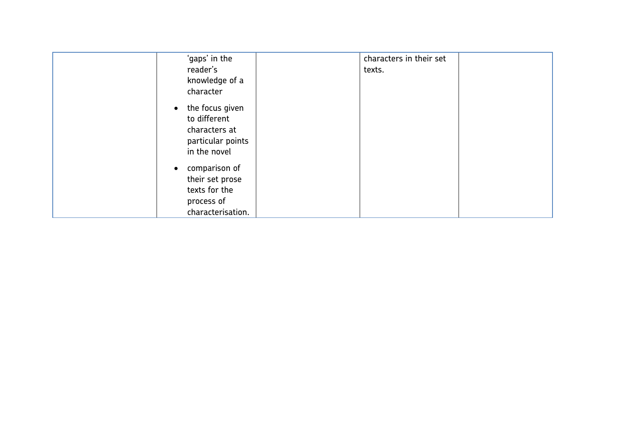| 'gaps' in the     | characters in their set |
|-------------------|-------------------------|
| reader's          | texts.                  |
| knowledge of a    |                         |
| character         |                         |
| • the focus given |                         |
| to different      |                         |
| characters at     |                         |
| particular points |                         |
| in the novel      |                         |
| comparison of     |                         |
| their set prose   |                         |
| texts for the     |                         |
| process of        |                         |
| characterisation. |                         |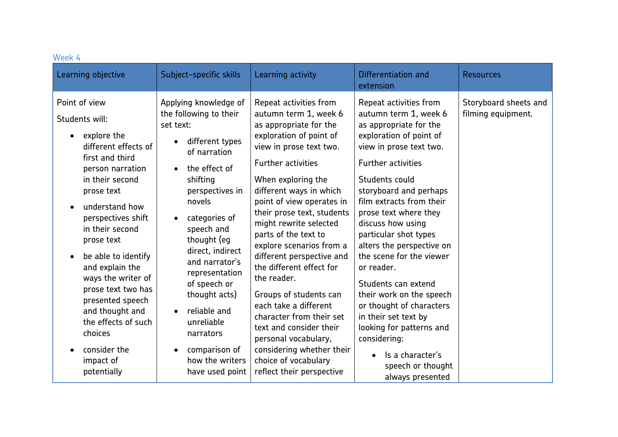| Week 4                                                                                                                                                                                                                                                                                                                                                                                                              |                                                                                                                                                                                                                                                                                                                                                                                                                                                  |                                                                                                                                                                                                                                                                                                                                                                                                                                                                                                                                                                                                                       |                                                                                                                                                                                                                                                                                                                                                                                                                                                                                                                                                           |                                             |
|---------------------------------------------------------------------------------------------------------------------------------------------------------------------------------------------------------------------------------------------------------------------------------------------------------------------------------------------------------------------------------------------------------------------|--------------------------------------------------------------------------------------------------------------------------------------------------------------------------------------------------------------------------------------------------------------------------------------------------------------------------------------------------------------------------------------------------------------------------------------------------|-----------------------------------------------------------------------------------------------------------------------------------------------------------------------------------------------------------------------------------------------------------------------------------------------------------------------------------------------------------------------------------------------------------------------------------------------------------------------------------------------------------------------------------------------------------------------------------------------------------------------|-----------------------------------------------------------------------------------------------------------------------------------------------------------------------------------------------------------------------------------------------------------------------------------------------------------------------------------------------------------------------------------------------------------------------------------------------------------------------------------------------------------------------------------------------------------|---------------------------------------------|
| Learning objective                                                                                                                                                                                                                                                                                                                                                                                                  | Subject-specific skills                                                                                                                                                                                                                                                                                                                                                                                                                          | Learning activity                                                                                                                                                                                                                                                                                                                                                                                                                                                                                                                                                                                                     | Differentiation and<br>extension                                                                                                                                                                                                                                                                                                                                                                                                                                                                                                                          | <b>Resources</b>                            |
| Point of view<br>Students will:<br>explore the<br>different effects of<br>first and third<br>person narration<br>in their second<br>prose text<br>understand how<br>perspectives shift<br>in their second<br>prose text<br>be able to identify<br>and explain the<br>ways the writer of<br>prose text two has<br>presented speech<br>and thought and<br>the effects of such<br>choices<br>consider the<br>impact of | Applying knowledge of<br>the following to their<br>set text:<br>different types<br>$\bullet$<br>of narration<br>the effect of<br>$\bullet$<br>shifting<br>perspectives in<br>novels<br>categories of<br>$\bullet$<br>speech and<br>thought (eg<br>direct, indirect<br>and narrator's<br>representation<br>of speech or<br>thought acts)<br>reliable and<br>$\bullet$<br>unreliable<br>narrators<br>comparison of<br>$\bullet$<br>how the writers | Repeat activities from<br>autumn term 1, week 6<br>as appropriate for the<br>exploration of point of<br>view in prose text two.<br><b>Further activities</b><br>When exploring the<br>different ways in which<br>point of view operates in<br>their prose text, students<br>might rewrite selected<br>parts of the text to<br>explore scenarios from a<br>different perspective and<br>the different effect for<br>the reader.<br>Groups of students can<br>each take a different<br>character from their set<br>text and consider their<br>personal vocabulary,<br>considering whether their<br>choice of vocabulary | Repeat activities from<br>autumn term 1, week 6<br>as appropriate for the<br>exploration of point of<br>view in prose text two.<br><b>Further activities</b><br>Students could<br>storyboard and perhaps<br>film extracts from their<br>prose text where they<br>discuss how using<br>particular shot types<br>alters the perspective on<br>the scene for the viewer<br>or reader.<br>Students can extend<br>their work on the speech<br>or thought of characters<br>in their set text by<br>looking for patterns and<br>considering:<br>Is a character's | Storyboard sheets and<br>filming equipment. |
| potentially                                                                                                                                                                                                                                                                                                                                                                                                         | have used point                                                                                                                                                                                                                                                                                                                                                                                                                                  | reflect their perspective                                                                                                                                                                                                                                                                                                                                                                                                                                                                                                                                                                                             | speech or thought<br>always presented                                                                                                                                                                                                                                                                                                                                                                                                                                                                                                                     |                                             |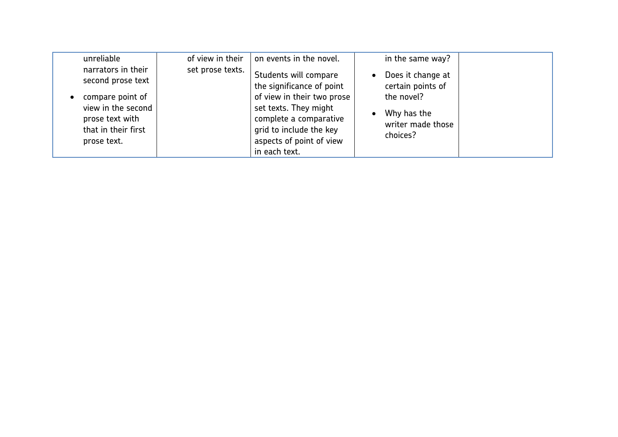| unreliable                                                                                                                                 | of view in their | on events in the novel.                                                                                                                                                                                     | in the same way?                                                                                     |
|--------------------------------------------------------------------------------------------------------------------------------------------|------------------|-------------------------------------------------------------------------------------------------------------------------------------------------------------------------------------------------------------|------------------------------------------------------------------------------------------------------|
| narrators in their<br>second prose text<br>compare point of<br>view in the second<br>prose text with<br>that in their first<br>prose text. | set prose texts. | Students will compare<br>the significance of point<br>of view in their two prose<br>set texts. They might<br>complete a comparative<br>grid to include the key<br>aspects of point of view<br>in each text. | Does it change at<br>certain points of<br>the novel?<br>Why has the<br>writer made those<br>choices? |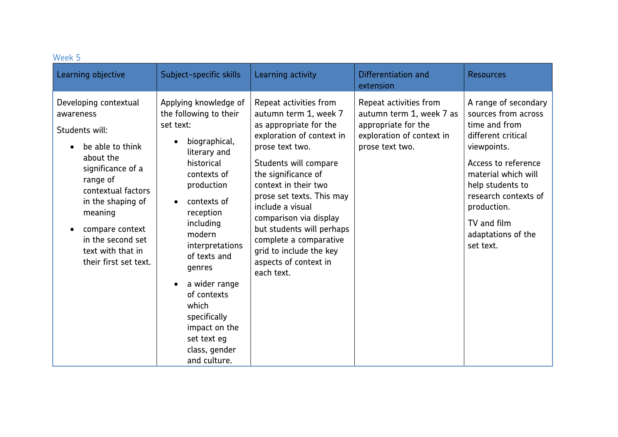| Week 5                                                                                                                                                                                                                                                             |                                                                                                                                                                                                                                                                                                                                                                                                           |                                                                                                                                                                                                                                                                                                                                                                                                       |                                                                                                                           |                                                                                                                                                                                                                                                              |
|--------------------------------------------------------------------------------------------------------------------------------------------------------------------------------------------------------------------------------------------------------------------|-----------------------------------------------------------------------------------------------------------------------------------------------------------------------------------------------------------------------------------------------------------------------------------------------------------------------------------------------------------------------------------------------------------|-------------------------------------------------------------------------------------------------------------------------------------------------------------------------------------------------------------------------------------------------------------------------------------------------------------------------------------------------------------------------------------------------------|---------------------------------------------------------------------------------------------------------------------------|--------------------------------------------------------------------------------------------------------------------------------------------------------------------------------------------------------------------------------------------------------------|
| Learning objective                                                                                                                                                                                                                                                 | Subject-specific skills                                                                                                                                                                                                                                                                                                                                                                                   | Learning activity                                                                                                                                                                                                                                                                                                                                                                                     | Differentiation and<br>extension                                                                                          | <b>Resources</b>                                                                                                                                                                                                                                             |
| Developing contextual<br>awareness<br>Students will:<br>be able to think<br>about the<br>significance of a<br>range of<br>contextual factors<br>in the shaping of<br>meaning<br>compare context<br>in the second set<br>text with that in<br>their first set text. | Applying knowledge of<br>the following to their<br>set text:<br>biographical,<br>$\bullet$<br>literary and<br>historical<br>contexts of<br>production<br>contexts of<br>$\bullet$<br>reception<br>including<br>modern<br>interpretations<br>of texts and<br>genres<br>a wider range<br>$\bullet$<br>of contexts<br>which<br>specifically<br>impact on the<br>set text eg<br>class, gender<br>and culture. | Repeat activities from<br>autumn term 1, week 7<br>as appropriate for the<br>exploration of context in<br>prose text two.<br>Students will compare<br>the significance of<br>context in their two<br>prose set texts. This may<br>include a visual<br>comparison via display<br>but students will perhaps<br>complete a comparative<br>grid to include the key<br>aspects of context in<br>each text. | Repeat activities from<br>autumn term 1, week 7 as<br>appropriate for the<br>exploration of context in<br>prose text two. | A range of secondary<br>sources from across<br>time and from<br>different critical<br>viewpoints.<br>Access to reference<br>material which will<br>help students to<br>research contexts of<br>production.<br>TV and film<br>adaptations of the<br>set text. |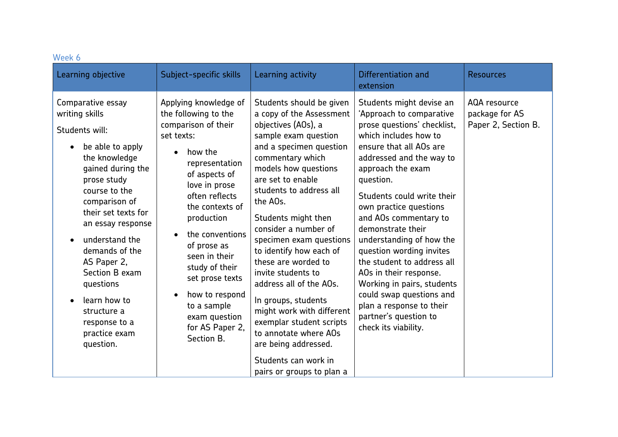| Week 6                                                                                                                                                                                                                                                                                                                                                                       |                                                                                                                                                                                                                                                                                                                                                                                              |                                                                                                                                                                                                                                                                                                                                                                                                                                                                                                                                                                                                           |                                                                                                                                                                                                                                                                                                                                                                                                                                                                                                                                                                    |                                                       |
|------------------------------------------------------------------------------------------------------------------------------------------------------------------------------------------------------------------------------------------------------------------------------------------------------------------------------------------------------------------------------|----------------------------------------------------------------------------------------------------------------------------------------------------------------------------------------------------------------------------------------------------------------------------------------------------------------------------------------------------------------------------------------------|-----------------------------------------------------------------------------------------------------------------------------------------------------------------------------------------------------------------------------------------------------------------------------------------------------------------------------------------------------------------------------------------------------------------------------------------------------------------------------------------------------------------------------------------------------------------------------------------------------------|--------------------------------------------------------------------------------------------------------------------------------------------------------------------------------------------------------------------------------------------------------------------------------------------------------------------------------------------------------------------------------------------------------------------------------------------------------------------------------------------------------------------------------------------------------------------|-------------------------------------------------------|
| Learning objective                                                                                                                                                                                                                                                                                                                                                           | Subject-specific skills                                                                                                                                                                                                                                                                                                                                                                      | Learning activity                                                                                                                                                                                                                                                                                                                                                                                                                                                                                                                                                                                         | Differentiation and<br>extension                                                                                                                                                                                                                                                                                                                                                                                                                                                                                                                                   | <b>Resources</b>                                      |
| Comparative essay<br>writing skills<br>Students will:<br>be able to apply<br>the knowledge<br>gained during the<br>prose study<br>course to the<br>comparison of<br>their set texts for<br>an essay response<br>understand the<br>demands of the<br>AS Paper 2,<br>Section B exam<br>questions<br>learn how to<br>structure a<br>response to a<br>practice exam<br>question. | Applying knowledge of<br>the following to the<br>comparison of their<br>set texts:<br>how the<br>representation<br>of aspects of<br>love in prose<br>often reflects<br>the contexts of<br>production<br>the conventions<br>of prose as<br>seen in their<br>study of their<br>set prose texts<br>how to respond<br>$\bullet$<br>to a sample<br>exam question<br>for AS Paper 2,<br>Section B. | Students should be given<br>a copy of the Assessment<br>objectives (AOs), a<br>sample exam question<br>and a specimen question<br>commentary which<br>models how questions<br>are set to enable<br>students to address all<br>the AOs.<br>Students might then<br>consider a number of<br>specimen exam questions<br>to identify how each of<br>these are worded to<br>invite students to<br>address all of the AOs.<br>In groups, students<br>might work with different<br>exemplar student scripts<br>to annotate where AOs<br>are being addressed.<br>Students can work in<br>pairs or groups to plan a | Students might devise an<br>'Approach to comparative<br>prose questions' checklist,<br>which includes how to<br>ensure that all AOs are<br>addressed and the way to<br>approach the exam<br>question.<br>Students could write their<br>own practice questions<br>and AOs commentary to<br>demonstrate their<br>understanding of how the<br>question wording invites<br>the student to address all<br>AOs in their response.<br>Working in pairs, students<br>could swap questions and<br>plan a response to their<br>partner's question to<br>check its viability. | AQA resource<br>package for AS<br>Paper 2, Section B. |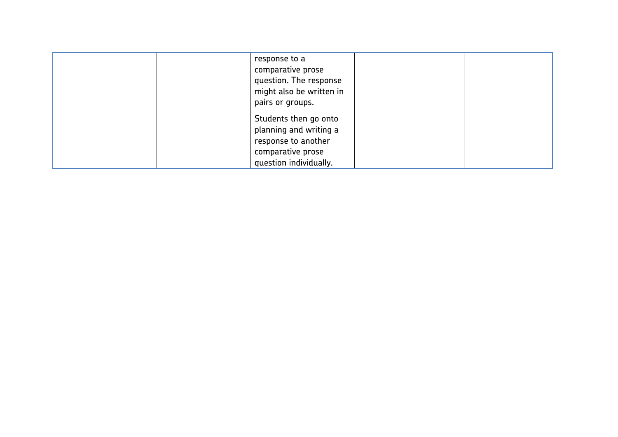| response to a<br>comparative prose<br>question. The response<br>might also be written in<br>pairs or groups.          |  |
|-----------------------------------------------------------------------------------------------------------------------|--|
| Students then go onto<br>planning and writing a<br>response to another<br>comparative prose<br>question individually. |  |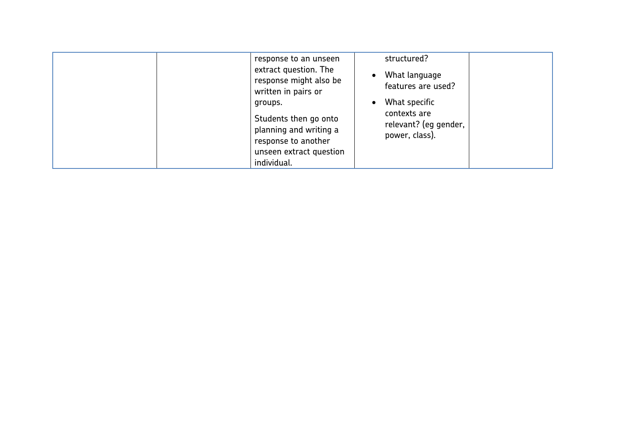|  | response to an unseen<br>extract question. The<br>response might also be<br>written in pairs or<br>groups.<br>Students then go onto<br>planning and writing a<br>response to another<br>unseen extract question<br>individual. | structured?<br>What language<br>features are used?<br>What specific<br>contexts are<br>relevant? (eg gender,<br>power, class). |  |
|--|--------------------------------------------------------------------------------------------------------------------------------------------------------------------------------------------------------------------------------|--------------------------------------------------------------------------------------------------------------------------------|--|
|--|--------------------------------------------------------------------------------------------------------------------------------------------------------------------------------------------------------------------------------|--------------------------------------------------------------------------------------------------------------------------------|--|